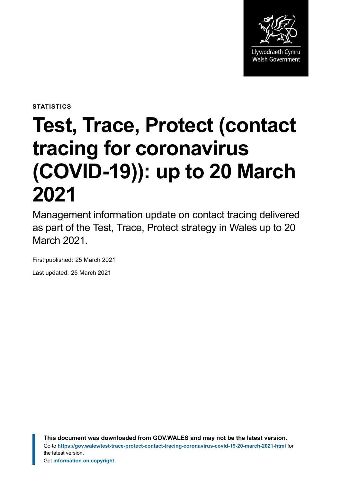

**STATISTICS**

# **Test, Trace, Protect (contact tracing for coronavirus (COVID-19)): up to 20 March 2021**

Management information update on contact tracing delivered as part of the Test, Trace, Protect strategy in Wales up to 20 March 2021.

First published: 25 March 2021

Last updated: 25 March 2021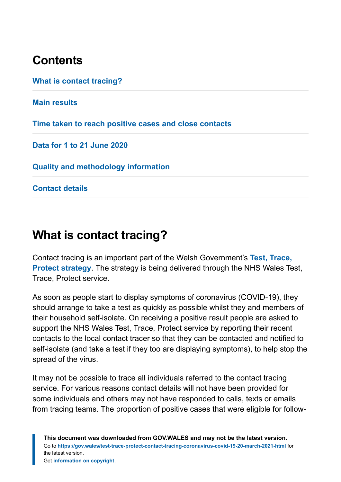# **Contents**

**[What is contact tracing?](#page-1-0) [Main results](#page-3-0) [Time taken to reach positive cases and close contacts](#page-9-0) [Data for 1 to 21 June 2020](#page-10-0) [Quality and methodology information](#page-10-1) [Contact details](#page-15-0)**

# <span id="page-1-0"></span>**What is contact tracing?**

Contact tracing is an important part of the Welsh Government's **[Test, Trace,](https://gov.wales/test-trace-protect) [Protect strategy](https://gov.wales/test-trace-protect)**. The strategy is being delivered through the NHS Wales Test, Trace, Protect service.

As soon as people start to display symptoms of coronavirus (COVID-19), they should arrange to take a test as quickly as possible whilst they and members of their household self-isolate. On receiving a positive result people are asked to support the NHS Wales Test, Trace, Protect service by reporting their recent contacts to the local contact tracer so that they can be contacted and notified to self-isolate (and take a test if they too are displaying symptoms), to help stop the spread of the virus.

It may not be possible to trace all individuals referred to the contact tracing service. For various reasons contact details will not have been provided for some individuals and others may not have responded to calls, texts or emails from tracing teams. The proportion of positive cases that were eligible for follow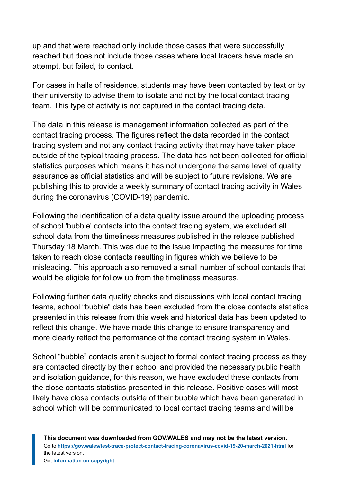up and that were reached only include those cases that were successfully reached but does not include those cases where local tracers have made an attempt, but failed, to contact.

For cases in halls of residence, students may have been contacted by text or by their university to advise them to isolate and not by the local contact tracing team. This type of activity is not captured in the contact tracing data.

The data in this release is management information collected as part of the contact tracing process. The figures reflect the data recorded in the contact tracing system and not any contact tracing activity that may have taken place outside of the typical tracing process. The data has not been collected for official statistics purposes which means it has not undergone the same level of quality assurance as official statistics and will be subject to future revisions. We are publishing this to provide a weekly summary of contact tracing activity in Wales during the coronavirus (COVID-19) pandemic.

Following the identification of a data quality issue around the uploading process of school 'bubble' contacts into the contact tracing system, we excluded all school data from the timeliness measures published in the release published Thursday 18 March. This was due to the issue impacting the measures for time taken to reach close contacts resulting in figures which we believe to be misleading. This approach also removed a small number of school contacts that would be eligible for follow up from the timeliness measures.

Following further data quality checks and discussions with local contact tracing teams, school "bubble" data has been excluded from the close contacts statistics presented in this release from this week and historical data has been updated to reflect this change. We have made this change to ensure transparency and more clearly reflect the performance of the contact tracing system in Wales.

School "bubble" contacts aren't subject to formal contact tracing process as they are contacted directly by their school and provided the necessary public health and isolation guidance, for this reason, we have excluded these contacts from the close contacts statistics presented in this release. Positive cases will most likely have close contacts outside of their bubble which have been generated in school which will be communicated to local contact tracing teams and will be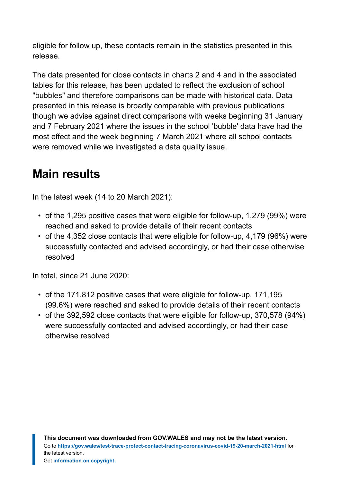eligible for follow up, these contacts remain in the statistics presented in this release.

The data presented for close contacts in charts 2 and 4 and in the associated tables for this release, has been updated to reflect the exclusion of school "bubbles" and therefore comparisons can be made with historical data. Data presented in this release is broadly comparable with previous publications though we advise against direct comparisons with weeks beginning 31 January and 7 February 2021 where the issues in the school 'bubble' data have had the most effect and the week beginning 7 March 2021 where all school contacts were removed while we investigated a data quality issue.

# <span id="page-3-0"></span>**Main results**

In the latest week (14 to 20 March 2021):

- of the 1,295 positive cases that were eligible for follow-up, 1,279 (99%) were reached and asked to provide details of their recent contacts
- of the 4,352 close contacts that were eligible for follow-up, 4,179 (96%) were successfully contacted and advised accordingly, or had their case otherwise resolved

In total, since 21 June 2020:

- of the 171,812 positive cases that were eligible for follow-up, 171,195 (99.6%) were reached and asked to provide details of their recent contacts
- of the 392,592 close contacts that were eligible for follow-up, 370,578 (94%) were successfully contacted and advised accordingly, or had their case otherwise resolved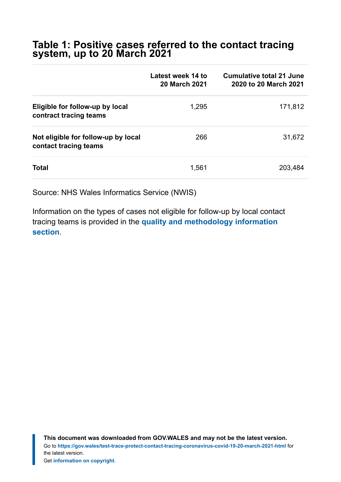#### **Table 1: Positive cases referred to the contact tracing system, up to 20 March 2021**

|                                                              | Latest week 14 to<br><b>20 March 2021</b> | <b>Cumulative total 21 June</b><br>2020 to 20 March 2021 |
|--------------------------------------------------------------|-------------------------------------------|----------------------------------------------------------|
| Eligible for follow-up by local<br>contract tracing teams    | 1,295                                     | 171,812                                                  |
| Not eligible for follow-up by local<br>contact tracing teams | 266                                       | 31,672                                                   |
| <b>Total</b>                                                 | 1,561                                     | 203,484                                                  |

Source: NHS Wales Informatics Service (NWIS)

Information on the types of cases not eligible for follow-up by local contact tracing teams is provided in the **[quality and methodology information](https://gov.wales/test-trace-protect-contact-tracing-coronavirus-covid-19-20-march-2021-html#section-67074) [section](https://gov.wales/test-trace-protect-contact-tracing-coronavirus-covid-19-20-march-2021-html#section-67074)**.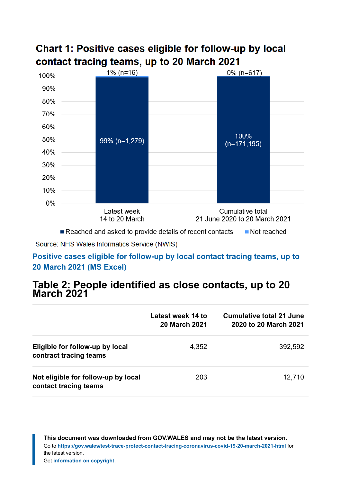### Chart 1: Positive cases eligible for follow-up by local contact tracing teams, up to 20 March 2021



Reached and asked to provide details of recent contacts ■ Not reached

Source: NHS Wales Informatics Service (NWIS)

#### **[Positive cases eligible for follow-up by local contact tracing teams, up to](https://gov.wales/sites/default/files/statistics-and-research/2021-03/test-trace-protect-contact-tracing-for-coronavirus-covid-19-up-to-20-march-2021-020.ods) [20 March 2021 \(MS Excel\)](https://gov.wales/sites/default/files/statistics-and-research/2021-03/test-trace-protect-contact-tracing-for-coronavirus-covid-19-up-to-20-march-2021-020.ods)**

#### **Table 2: People identified as close contacts, up to 20 March 2021**

|                                                              | Latest week 14 to<br><b>20 March 2021</b> | Cumulative total 21 June<br>2020 to 20 March 2021 |
|--------------------------------------------------------------|-------------------------------------------|---------------------------------------------------|
| Eligible for follow-up by local<br>contract tracing teams    | 4,352                                     | 392,592                                           |
| Not eligible for follow-up by local<br>contact tracing teams | 203                                       | 12,710                                            |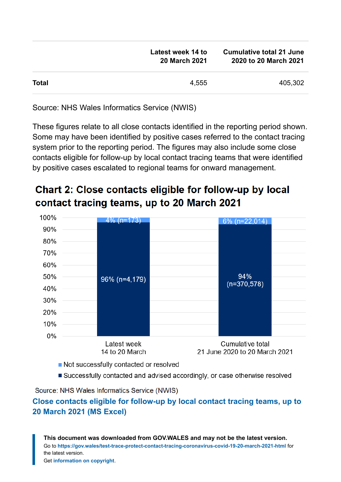|              | Latest week 14 to<br><b>20 March 2021</b> | <b>Cumulative total 21 June</b><br>2020 to 20 March 2021 |
|--------------|-------------------------------------------|----------------------------------------------------------|
| <b>Total</b> | 4.555                                     | 405,302                                                  |

Source: NHS Wales Informatics Service (NWIS)

These figures relate to all close contacts identified in the reporting period shown. Some may have been identified by positive cases referred to the contact tracing system prior to the reporting period. The figures may also include some close contacts eligible for follow-up by local contact tracing teams that were identified by positive cases escalated to regional teams for onward management.

### Chart 2: Close contacts eligible for follow-up by local contact tracing teams, up to 20 March 2021



- Not successfully contacted or resolved
- Successfully contacted and advised accordingly, or case otherwise resolved

Source: NHS Wales Informatics Service (NWIS)

#### **[Close contacts eligible for follow-up by local contact tracing teams, up to](https://gov.wales/sites/default/files/statistics-and-research/2021-03/test-trace-protect-contact-tracing-for-coronavirus-covid-19-up-to-20-march-2021-020.ods) [20 March 2021 \(MS Excel\)](https://gov.wales/sites/default/files/statistics-and-research/2021-03/test-trace-protect-contact-tracing-for-coronavirus-covid-19-up-to-20-march-2021-020.ods)**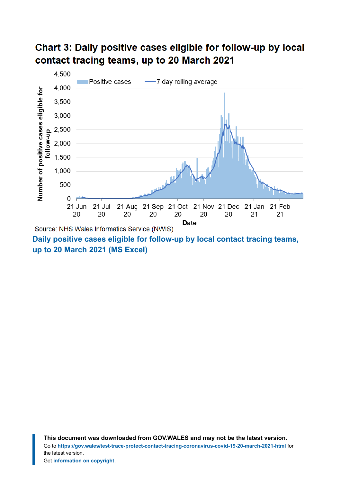### Chart 3: Daily positive cases eligible for follow-up by local contact tracing teams, up to 20 March 2021



**[up to 20 March 2021 \(MS Excel\)](https://gov.wales/sites/default/files/statistics-and-research/2021-03/test-trace-protect-contact-tracing-for-coronavirus-covid-19-up-to-20-march-2021-020.ods)**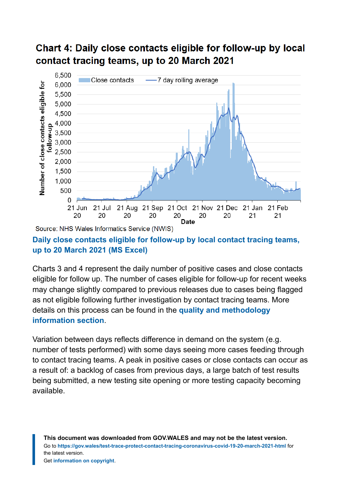### Chart 4: Daily close contacts eligible for follow-up by local contact tracing teams, up to 20 March 2021



#### **[Daily close contacts eligible for follow-up by local contact tracing teams,](https://gov.wales/sites/default/files/statistics-and-research/2021-03/test-trace-protect-contact-tracing-for-coronavirus-covid-19-up-to-20-march-2021-020.ods) [up to 20 March 2021](https://gov.wales/sites/default/files/statistics-and-research/2021-03/test-trace-protect-contact-tracing-for-coronavirus-covid-19-up-to-20-march-2021-020.ods) (MS Excel)**

Charts 3 and 4 represent the daily number of positive cases and close contacts eligible for follow up. The number of cases eligible for follow-up for recent weeks may change slightly compared to previous releases due to cases being flagged as not eligible following further investigation by contact tracing teams. More details on this process can be found in the **[quality and methodology](https://gov.wales/test-trace-protect-contact-tracing-coronavirus-covid-19-20-march-2021-html#section-67074) [information section](https://gov.wales/test-trace-protect-contact-tracing-coronavirus-covid-19-20-march-2021-html#section-67074)**.

Variation between days reflects difference in demand on the system (e.g. number of tests performed) with some days seeing more cases feeding through to contact tracing teams. A peak in positive cases or close contacts can occur as a result of: a backlog of cases from previous days, a large batch of test results being submitted, a new testing site opening or more testing capacity becoming available.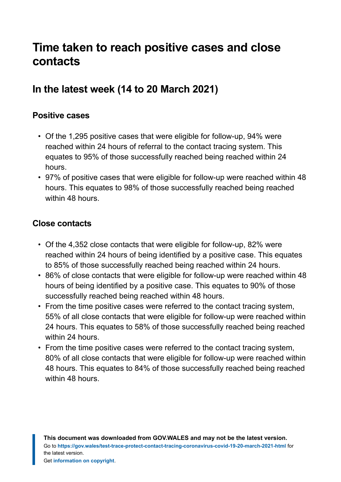# <span id="page-9-0"></span>**Time taken to reach positive cases and close contacts**

# **In the latest week (14 to 20 March 2021)**

#### **Positive cases**

- Of the 1,295 positive cases that were eligible for follow-up, 94% were reached within 24 hours of referral to the contact tracing system. This equates to 95% of those successfully reached being reached within 24 hours.
- 97% of positive cases that were eligible for follow-up were reached within 48 hours. This equates to 98% of those successfully reached being reached within 48 hours.

#### **Close contacts**

- Of the 4,352 close contacts that were eligible for follow-up, 82% were reached within 24 hours of being identified by a positive case. This equates to 85% of those successfully reached being reached within 24 hours.
- 86% of close contacts that were eligible for follow-up were reached within 48 hours of being identified by a positive case. This equates to 90% of those successfully reached being reached within 48 hours.
- From the time positive cases were referred to the contact tracing system, 55% of all close contacts that were eligible for follow-up were reached within 24 hours. This equates to 58% of those successfully reached being reached within 24 hours.
- From the time positive cases were referred to the contact tracing system, 80% of all close contacts that were eligible for follow-up were reached within 48 hours. This equates to 84% of those successfully reached being reached within 48 hours.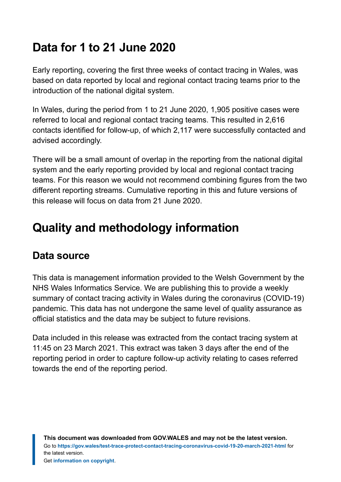# <span id="page-10-0"></span>**Data for 1 to 21 June 2020**

Early reporting, covering the first three weeks of contact tracing in Wales, was based on data reported by local and regional contact tracing teams prior to the introduction of the national digital system.

In Wales, during the period from 1 to 21 June 2020, 1,905 positive cases were referred to local and regional contact tracing teams. This resulted in 2,616 contacts identified for follow-up, of which 2,117 were successfully contacted and advised accordingly.

There will be a small amount of overlap in the reporting from the national digital system and the early reporting provided by local and regional contact tracing teams. For this reason we would not recommend combining figures from the two different reporting streams. Cumulative reporting in this and future versions of this release will focus on data from 21 June 2020.

# <span id="page-10-1"></span>**Quality and methodology information**

# **Data source**

This data is management information provided to the Welsh Government by the NHS Wales Informatics Service. We are publishing this to provide a weekly summary of contact tracing activity in Wales during the coronavirus (COVID-19) pandemic. This data has not undergone the same level of quality assurance as official statistics and the data may be subject to future revisions.

Data included in this release was extracted from the contact tracing system at 11:45 on 23 March 2021. This extract was taken 3 days after the end of the reporting period in order to capture follow-up activity relating to cases referred towards the end of the reporting period.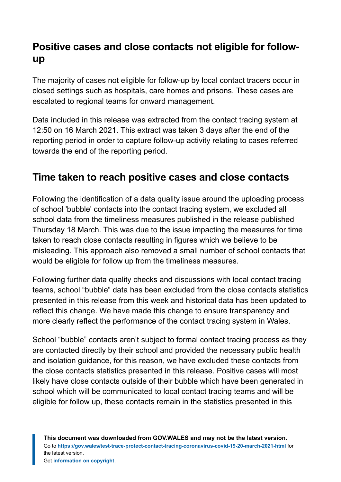# **Positive cases and close contacts not eligible for followup**

The majority of cases not eligible for follow-up by local contact tracers occur in closed settings such as hospitals, care homes and prisons. These cases are escalated to regional teams for onward management.

Data included in this release was extracted from the contact tracing system at 12:50 on 16 March 2021. This extract was taken 3 days after the end of the reporting period in order to capture follow-up activity relating to cases referred towards the end of the reporting period.

# **Time taken to reach positive cases and close contacts**

Following the identification of a data quality issue around the uploading process of school 'bubble' contacts into the contact tracing system, we excluded all school data from the timeliness measures published in the release published Thursday 18 March. This was due to the issue impacting the measures for time taken to reach close contacts resulting in figures which we believe to be misleading. This approach also removed a small number of school contacts that would be eligible for follow up from the timeliness measures.

Following further data quality checks and discussions with local contact tracing teams, school "bubble" data has been excluded from the close contacts statistics presented in this release from this week and historical data has been updated to reflect this change. We have made this change to ensure transparency and more clearly reflect the performance of the contact tracing system in Wales.

School "bubble" contacts aren't subject to formal contact tracing process as they are contacted directly by their school and provided the necessary public health and isolation guidance, for this reason, we have excluded these contacts from the close contacts statistics presented in this release. Positive cases will most likely have close contacts outside of their bubble which have been generated in school which will be communicated to local contact tracing teams and will be eligible for follow up, these contacts remain in the statistics presented in this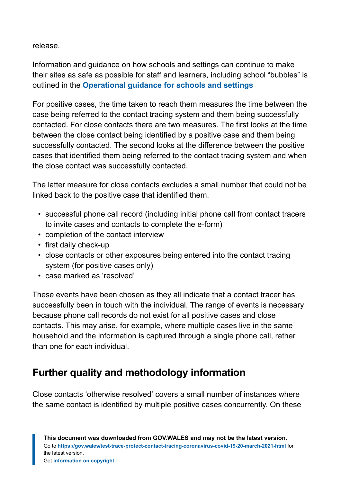release.

Information and guidance on how schools and settings can continue to make their sites as safe as possible for staff and learners, including school "bubbles" is outlined in the **[Operational guidance for schools and settings](https://gov.wales/operational-guidance-schools-and-settings-12-april-html)**

For positive cases, the time taken to reach them measures the time between the case being referred to the contact tracing system and them being successfully contacted. For close contacts there are two measures. The first looks at the time between the close contact being identified by a positive case and them being successfully contacted. The second looks at the difference between the positive cases that identified them being referred to the contact tracing system and when the close contact was successfully contacted.

The latter measure for close contacts excludes a small number that could not be linked back to the positive case that identified them.

- successful phone call record (including initial phone call from contact tracers to invite cases and contacts to complete the e-form)
- completion of the contact interview
- first daily check-up
- close contacts or other exposures being entered into the contact tracing system (for positive cases only)
- case marked as 'resolved'

These events have been chosen as they all indicate that a contact tracer has successfully been in touch with the individual. The range of events is necessary because phone call records do not exist for all positive cases and close contacts. This may arise, for example, where multiple cases live in the same household and the information is captured through a single phone call, rather than one for each individual.

# **Further quality and methodology information**

Close contacts 'otherwise resolved' covers a small number of instances where the same contact is identified by multiple positive cases concurrently. On these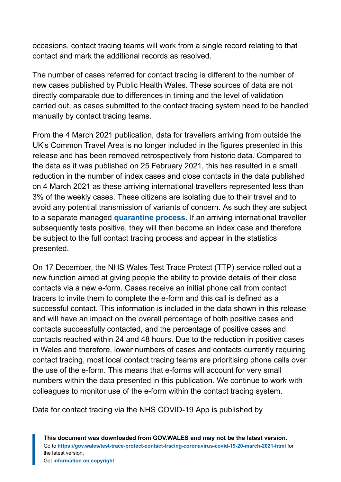occasions, contact tracing teams will work from a single record relating to that contact and mark the additional records as resolved.

The number of cases referred for contact tracing is different to the number of new cases published by Public Health Wales. These sources of data are not directly comparable due to differences in timing and the level of validation carried out, as cases submitted to the contact tracing system need to be handled manually by contact tracing teams.

From the 4 March 2021 publication, data for travellers arriving from outside the UK's Common Travel Area is no longer included in the figures presented in this release and has been removed retrospectively from historic data. Compared to the data as it was published on 25 February 2021, this has resulted in a small reduction in the number of index cases and close contacts in the data published on 4 March 2021 as these arriving international travellers represented less than 3% of the weekly cases. These citizens are isolating due to their travel and to avoid any potential transmission of variants of concern. As such they are subject to a separate managed **[quarantine process](https://gov.wales/how-isolate-when-you-travel-wales-coronavirus-covid-19)**. If an arriving international traveller subsequently tests positive, they will then become an index case and therefore be subject to the full contact tracing process and appear in the statistics presented.

On 17 December, the NHS Wales Test Trace Protect (TTP) service rolled out a new function aimed at giving people the ability to provide details of their close contacts via a new e-form. Cases receive an initial phone call from contact tracers to invite them to complete the e-form and this call is defined as a successful contact. This information is included in the data shown in this release and will have an impact on the overall percentage of both positive cases and contacts successfully contacted, and the percentage of positive cases and contacts reached within 24 and 48 hours. Due to the reduction in positive cases in Wales and therefore, lower numbers of cases and contacts currently requiring contact tracing, most local contact tracing teams are prioritising phone calls over the use of the e-form. This means that e-forms will account for very small numbers within the data presented in this publication. We continue to work with colleagues to monitor use of the e-form within the contact tracing system.

Data for contact tracing via the NHS COVID-19 App is published by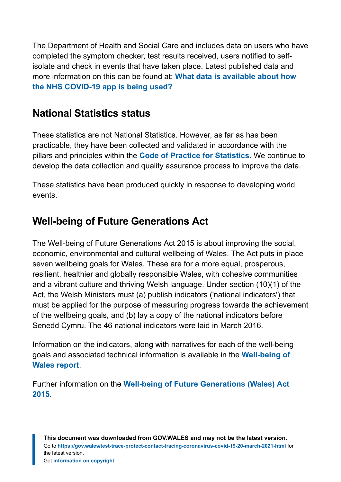The Department of Health and Social Care and includes data on users who have completed the symptom checker, test results received, users notified to selfisolate and check in events that have taken place. Latest published data and more information on this can be found at: **[What data is available about how](https://faq.covid19.nhs.uk/article/KA-01367) [the NHS COVID-19 app is being used?](https://faq.covid19.nhs.uk/article/KA-01367)**

### **National Statistics status**

These statistics are not National Statistics. However, as far as has been practicable, they have been collected and validated in accordance with the pillars and principles within the **[Code of Practice for Statistics](https://code.statisticsauthority.gov.uk/)**. We continue to develop the data collection and quality assurance process to improve the data.

These statistics have been produced quickly in response to developing world events.

# **Well-being of Future Generations Act**

The Well-being of Future Generations Act 2015 is about improving the social, economic, environmental and cultural wellbeing of Wales. The Act puts in place seven wellbeing goals for Wales. These are for a more equal, prosperous, resilient, healthier and globally responsible Wales, with cohesive communities and a vibrant culture and thriving Welsh language. Under section (10)(1) of the Act, the Welsh Ministers must (a) publish indicators ('national indicators') that must be applied for the purpose of measuring progress towards the achievement of the wellbeing goals, and (b) lay a copy of the national indicators before Senedd Cymru. The 46 national indicators were laid in March 2016.

Information on the indicators, along with narratives for each of the well-being goals and associated technical information is available in the **[Well-being of](https://gov.wales/wellbeing-wales) [Wales report](https://gov.wales/wellbeing-wales)**.

Further information on the **[Well-being of Future Generations \(Wales\) Act](https://gov.wales/well-being-future-generations-wales-act-2015-guidance) [2015](https://gov.wales/well-being-future-generations-wales-act-2015-guidance)**.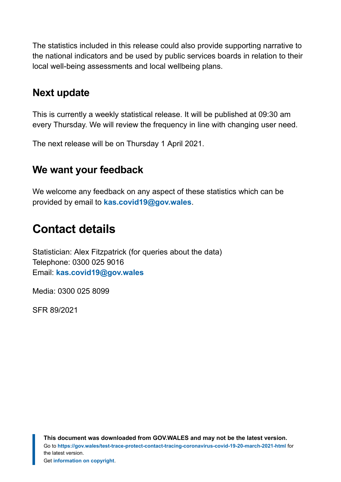The statistics included in this release could also provide supporting narrative to the national indicators and be used by public services boards in relation to their local well-being assessments and local wellbeing plans.

### **Next update**

This is currently a weekly statistical release. It will be published at 09:30 am every Thursday. We will review the frequency in line with changing user need.

The next release will be on Thursday 1 April 2021.

### **We want your feedback**

We welcome any feedback on any aspect of these statistics which can be provided by email to **[kas.covid19@gov.wales](mailto:KAS.COVID19@gov.wales)**.

# <span id="page-15-0"></span>**Contact details**

Statistician: Alex Fitzpatrick (for queries about the data) Telephone: 0300 025 9016 Email: **[kas.covid19@gov.wales](mailto:kas.covid19@gov.wales)**

Media: 0300 025 8099

SFR 89/2021